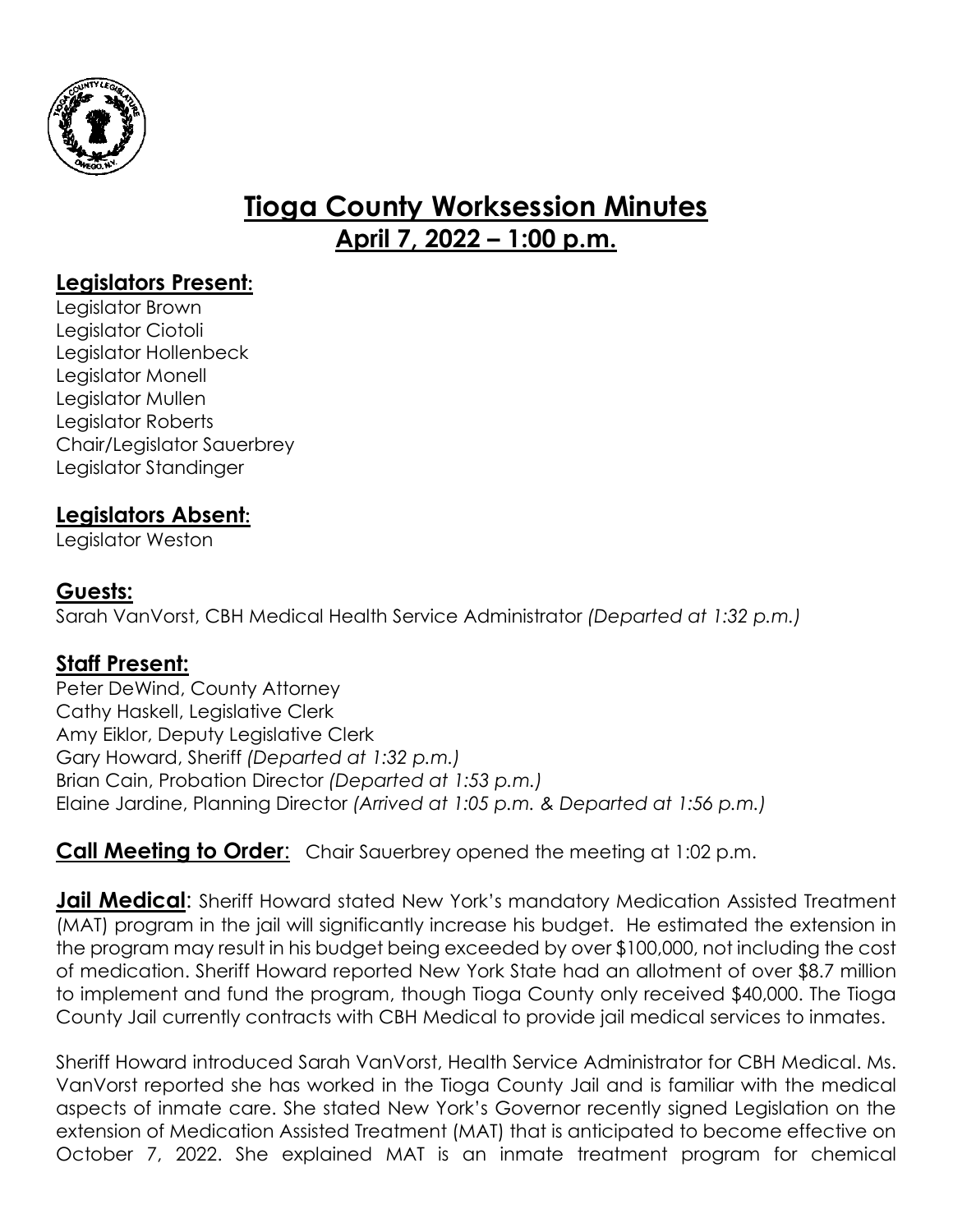

# **Tioga County Worksession Minutes April 7, 2022 – 1:00 p.m.**

# **Legislators Present:**

Legislator Brown Legislator Ciotoli Legislator Hollenbeck Legislator Monell Legislator Mullen Legislator Roberts Chair/Legislator Sauerbrey Legislator Standinger

# **Legislators Absent:**

Legislator Weston

## **Guests:**

Sarah VanVorst, CBH Medical Health Service Administrator *(Departed at 1:32 p.m.)*

#### **Staff Present:**

Peter DeWind, County Attorney Cathy Haskell, Legislative Clerk Amy Eiklor, Deputy Legislative Clerk Gary Howard, Sheriff *(Departed at 1:32 p.m.)* Brian Cain, Probation Director *(Departed at 1:53 p.m.)* Elaine Jardine, Planning Director *(Arrived at 1:05 p.m. & Departed at 1:56 p.m.)*

## **Call Meeting to Order:** Chair Sauerbrey opened the meeting at 1:02 p.m.

**Jail Medical**: Sheriff Howard stated New York's mandatory Medication Assisted Treatment (MAT) program in the jail will significantly increase his budget. He estimated the extension in the program may result in his budget being exceeded by over \$100,000, not including the cost of medication. Sheriff Howard reported New York State had an allotment of over \$8.7 million to implement and fund the program, though Tioga County only received \$40,000. The Tioga County Jail currently contracts with CBH Medical to provide jail medical services to inmates.

Sheriff Howard introduced Sarah VanVorst, Health Service Administrator for CBH Medical. Ms. VanVorst reported she has worked in the Tioga County Jail and is familiar with the medical aspects of inmate care. She stated New York's Governor recently signed Legislation on the extension of Medication Assisted Treatment (MAT) that is anticipated to become effective on October 7, 2022. She explained MAT is an inmate treatment program for chemical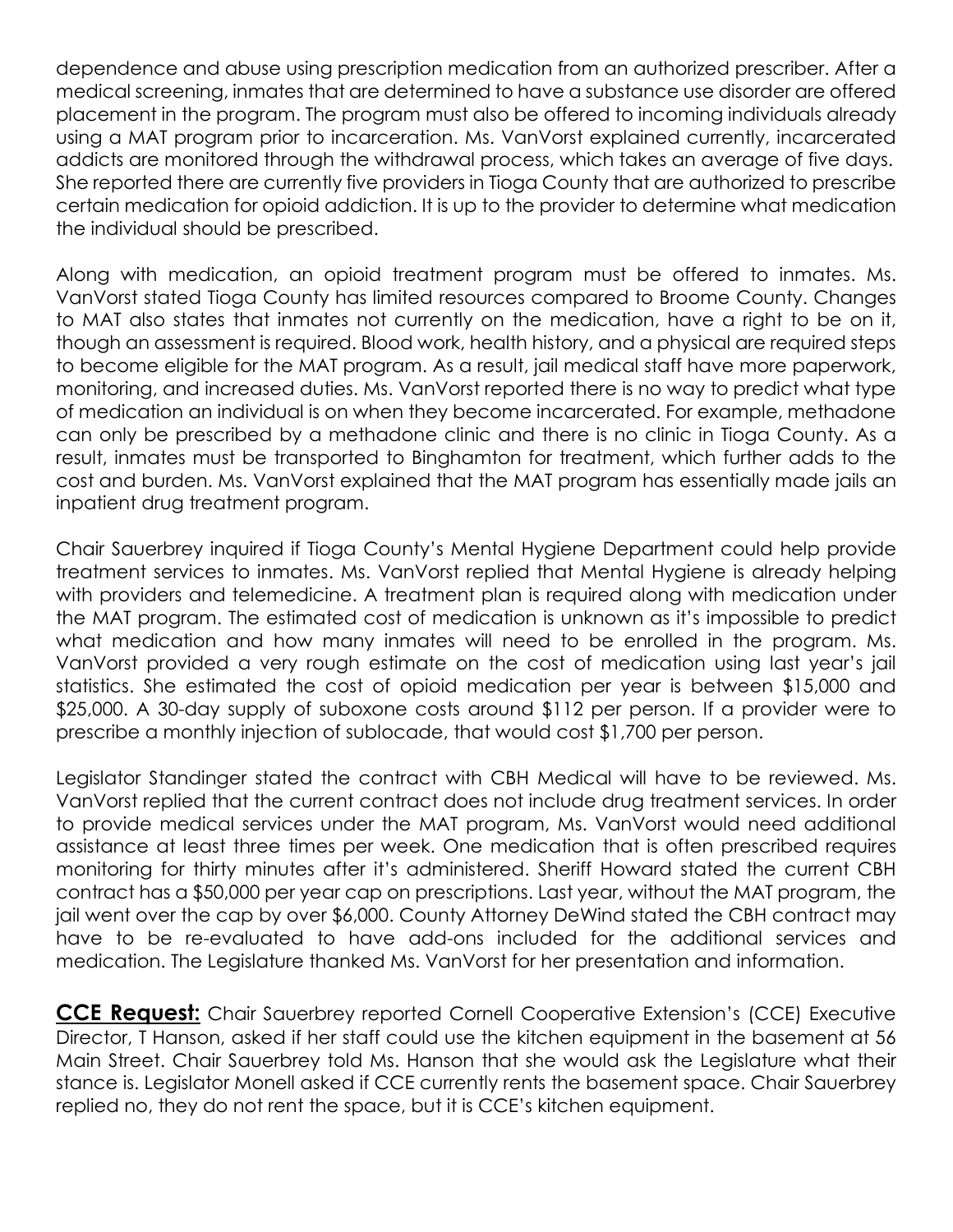dependence and abuse using prescription medication from an authorized prescriber. After a medical screening, inmates that are determined to have a substance use disorder are offered placement in the program. The program must also be offered to incoming individuals already using a MAT program prior to incarceration. Ms. VanVorst explained currently, incarcerated addicts are monitored through the withdrawal process, which takes an average of five days. She reported there are currently five providers in Tioga County that are authorized to prescribe certain medication for opioid addiction. It is up to the provider to determine what medication the individual should be prescribed.

Along with medication, an opioid treatment program must be offered to inmates. Ms. VanVorst stated Tioga County has limited resources compared to Broome County. Changes to MAT also states that inmates not currently on the medication, have a right to be on it, though an assessment is required. Blood work, health history, and a physical are required steps to become eligible for the MAT program. As a result, jail medical staff have more paperwork, monitoring, and increased duties. Ms. VanVorst reported there is no way to predict what type of medication an individual is on when they become incarcerated. For example, methadone can only be prescribed by a methadone clinic and there is no clinic in Tioga County. As a result, inmates must be transported to Binghamton for treatment, which further adds to the cost and burden. Ms. VanVorst explained that the MAT program has essentially made jails an inpatient drug treatment program.

Chair Sauerbrey inquired if Tioga County's Mental Hygiene Department could help provide treatment services to inmates. Ms. VanVorst replied that Mental Hygiene is already helping with providers and telemedicine. A treatment plan is required along with medication under the MAT program. The estimated cost of medication is unknown as it's impossible to predict what medication and how many inmates will need to be enrolled in the program. Ms. VanVorst provided a very rough estimate on the cost of medication using last year's jail statistics. She estimated the cost of opioid medication per year is between \$15,000 and \$25,000. A 30-day supply of suboxone costs around \$112 per person. If a provider were to prescribe a monthly injection of sublocade, that would cost \$1,700 per person.

Legislator Standinger stated the contract with CBH Medical will have to be reviewed. Ms. VanVorst replied that the current contract does not include drug treatment services. In order to provide medical services under the MAT program, Ms. VanVorst would need additional assistance at least three times per week. One medication that is often prescribed requires monitoring for thirty minutes after it's administered. Sheriff Howard stated the current CBH contract has a \$50,000 per year cap on prescriptions. Last year, without the MAT program, the jail went over the cap by over \$6,000. County Attorney DeWind stated the CBH contract may have to be re-evaluated to have add-ons included for the additional services and medication. The Legislature thanked Ms. VanVorst for her presentation and information.

**CCE Request:** Chair Sauerbrey reported Cornell Cooperative Extension's (CCE) Executive Director, T Hanson, asked if her staff could use the kitchen equipment in the basement at 56 Main Street. Chair Sauerbrey told Ms. Hanson that she would ask the Legislature what their stance is. Legislator Monell asked if CCE currently rents the basement space. Chair Sauerbrey replied no, they do not rent the space, but it is CCE's kitchen equipment.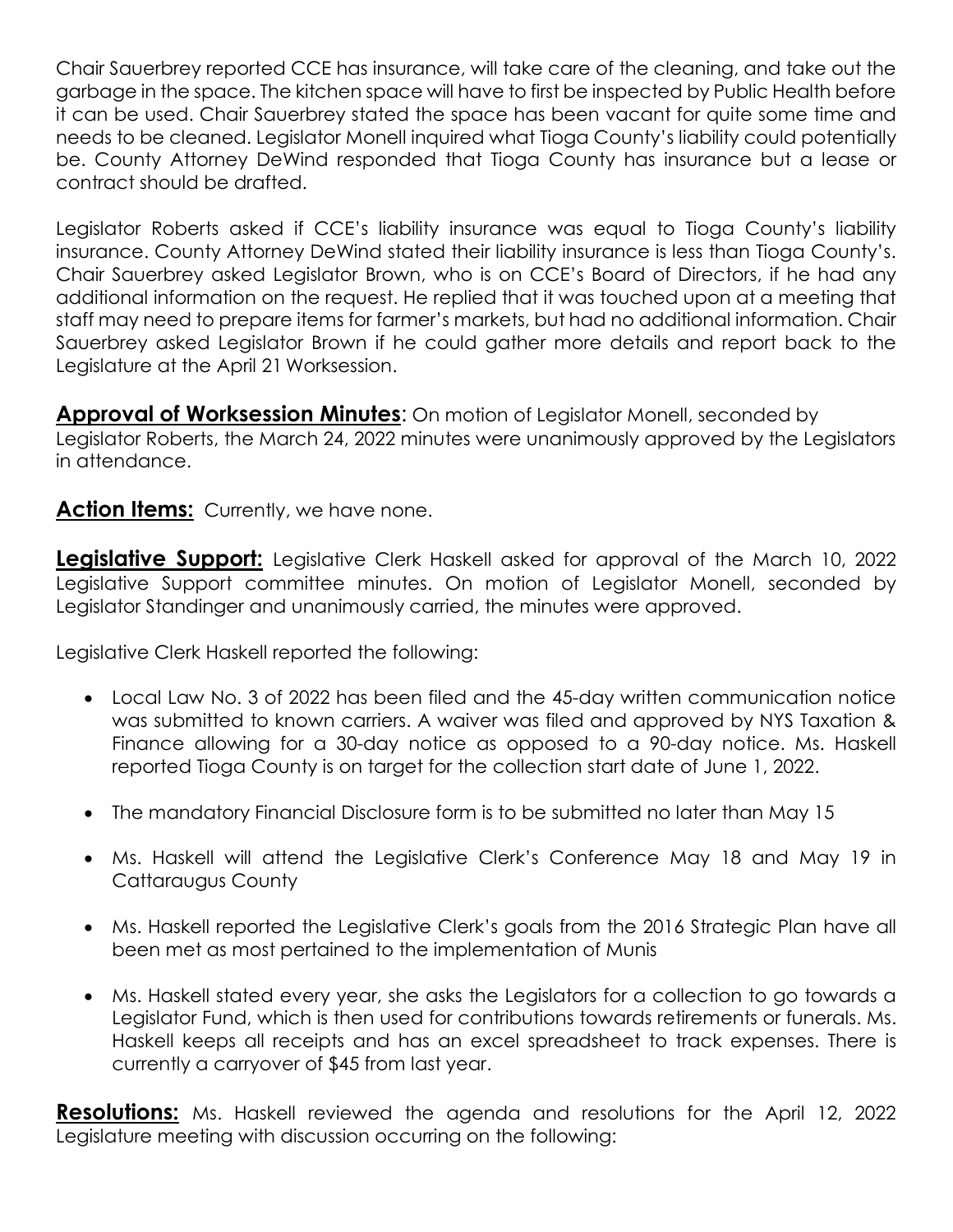Chair Sauerbrey reported CCE has insurance, will take care of the cleaning, and take out the garbage in the space. The kitchen space will have to first be inspected by Public Health before it can be used. Chair Sauerbrey stated the space has been vacant for quite some time and needs to be cleaned. Legislator Monell inquired what Tioga County's liability could potentially be. County Attorney DeWind responded that Tioga County has insurance but a lease or contract should be drafted.

Legislator Roberts asked if CCE's liability insurance was equal to Tioga County's liability insurance. County Attorney DeWind stated their liability insurance is less than Tioga County's. Chair Sauerbrey asked Legislator Brown, who is on CCE's Board of Directors, if he had any additional information on the request. He replied that it was touched upon at a meeting that staff may need to prepare items for farmer's markets, but had no additional information. Chair Sauerbrey asked Legislator Brown if he could gather more details and report back to the Legislature at the April 21 Worksession.

**Approval of Worksession Minutes**: On motion of Legislator Monell, seconded by Legislator Roberts, the March 24, 2022 minutes were unanimously approved by the Legislators in attendance.

#### **Action Items:** Currently, we have none.

**Legislative Support:** Legislative Clerk Haskell asked for approval of the March 10, 2022 Legislative Support committee minutes. On motion of Legislator Monell, seconded by Legislator Standinger and unanimously carried, the minutes were approved.

Legislative Clerk Haskell reported the following:

- Local Law No. 3 of 2022 has been filed and the 45-day written communication notice was submitted to known carriers. A waiver was filed and approved by NYS Taxation & Finance allowing for a 30-day notice as opposed to a 90-day notice. Ms. Haskell reported Tioga County is on target for the collection start date of June 1, 2022.
- The mandatory Financial Disclosure form is to be submitted no later than May 15
- Ms. Haskell will attend the Legislative Clerk's Conference May 18 and May 19 in Cattaraugus County
- Ms. Haskell reported the Legislative Clerk's goals from the 2016 Strategic Plan have all been met as most pertained to the implementation of Munis
- Ms. Haskell stated every year, she asks the Legislators for a collection to go towards a Legislator Fund, which is then used for contributions towards retirements or funerals. Ms. Haskell keeps all receipts and has an excel spreadsheet to track expenses. There is currently a carryover of \$45 from last year.

**Resolutions:** Ms. Haskell reviewed the agenda and resolutions for the April 12, 2022 Legislature meeting with discussion occurring on the following: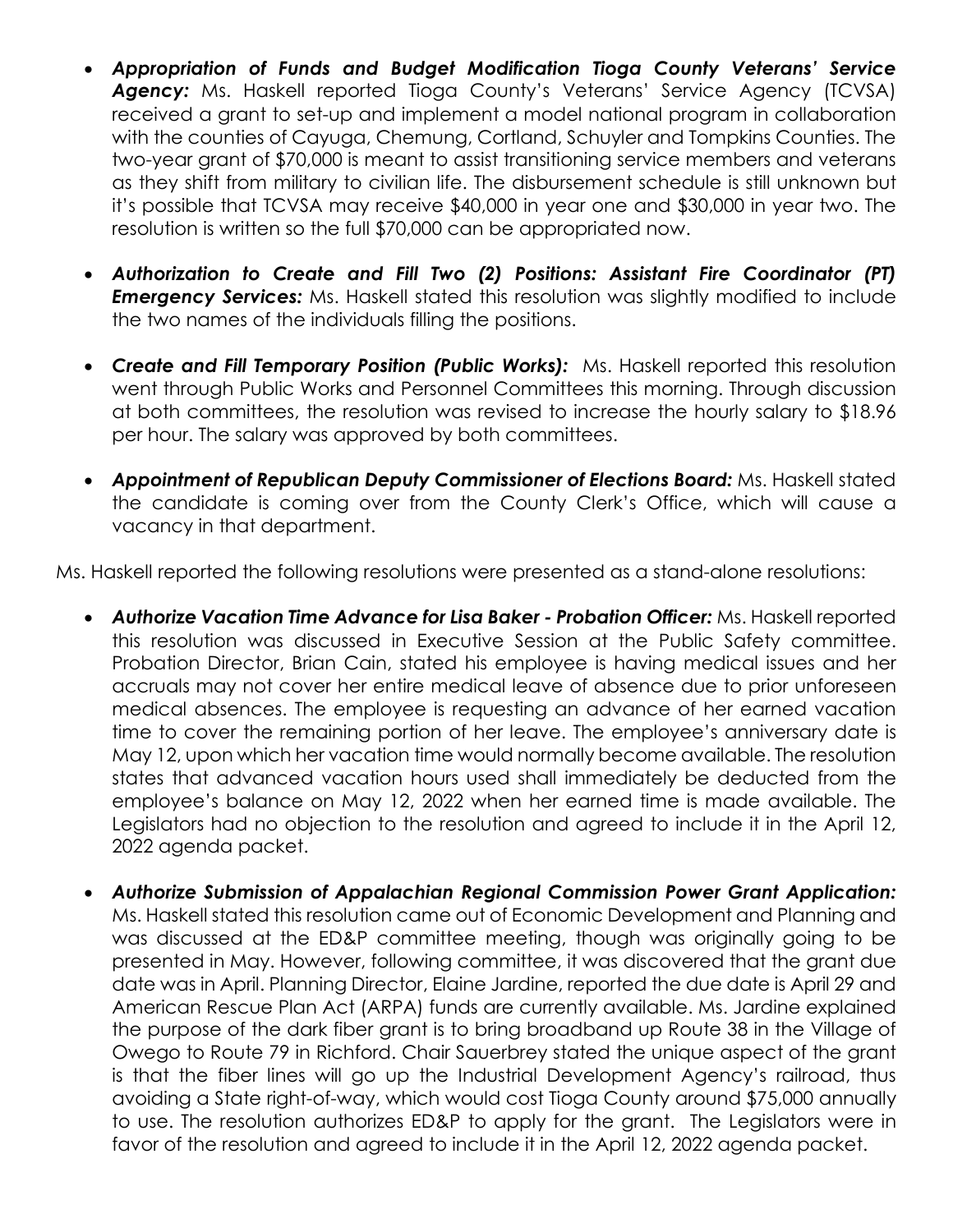- *Appropriation of Funds and Budget Modification Tioga County Veterans' Service* Agency: Ms. Haskell reported Tioga County's Veterans' Service Agency (TCVSA) received a grant to set-up and implement a model national program in collaboration with the counties of Cayuga, Chemung, Cortland, Schuyler and Tompkins Counties. The two-year grant of \$70,000 is meant to assist transitioning service members and veterans as they shift from military to civilian life. The disbursement schedule is still unknown but it's possible that TCVSA may receive \$40,000 in year one and \$30,000 in year two. The resolution is written so the full \$70,000 can be appropriated now.
- *Authorization to Create and Fill Two (2) Positions: Assistant Fire Coordinator (PT)* **Emergency Services:** Ms. Haskell stated this resolution was slightly modified to include the two names of the individuals filling the positions.
- *Create and Fill Temporary Position (Public Works):* Ms. Haskell reported this resolution went through Public Works and Personnel Committees this morning. Through discussion at both committees, the resolution was revised to increase the hourly salary to \$18.96 per hour. The salary was approved by both committees.
- *Appointment of Republican Deputy Commissioner of Elections Board:* Ms. Haskell stated the candidate is coming over from the County Clerk's Office, which will cause a vacancy in that department.

Ms. Haskell reported the following resolutions were presented as a stand-alone resolutions:

- *Authorize Vacation Time Advance for Lisa Baker Probation Officer:* Ms. Haskell reported this resolution was discussed in Executive Session at the Public Safety committee. Probation Director, Brian Cain, stated his employee is having medical issues and her accruals may not cover her entire medical leave of absence due to prior unforeseen medical absences. The employee is requesting an advance of her earned vacation time to cover the remaining portion of her leave. The employee's anniversary date is May 12, upon which her vacation time would normally become available. The resolution states that advanced vacation hours used shall immediately be deducted from the employee's balance on May 12, 2022 when her earned time is made available. The Legislators had no objection to the resolution and agreed to include it in the April 12, 2022 agenda packet.
- *Authorize Submission of Appalachian Regional Commission Power Grant Application:* Ms. Haskell stated this resolution came out of Economic Development and Planning and was discussed at the ED&P committee meeting, though was originally going to be presented in May. However, following committee, it was discovered that the grant due date was in April. Planning Director, Elaine Jardine, reported the due date is April 29 and American Rescue Plan Act (ARPA) funds are currently available. Ms. Jardine explained the purpose of the dark fiber grant is to bring broadband up Route 38 in the Village of Owego to Route 79 in Richford. Chair Sauerbrey stated the unique aspect of the grant is that the fiber lines will go up the Industrial Development Agency's railroad, thus avoiding a State right-of-way, which would cost Tioga County around \$75,000 annually to use. The resolution authorizes ED&P to apply for the grant. The Legislators were in favor of the resolution and agreed to include it in the April 12, 2022 agenda packet.